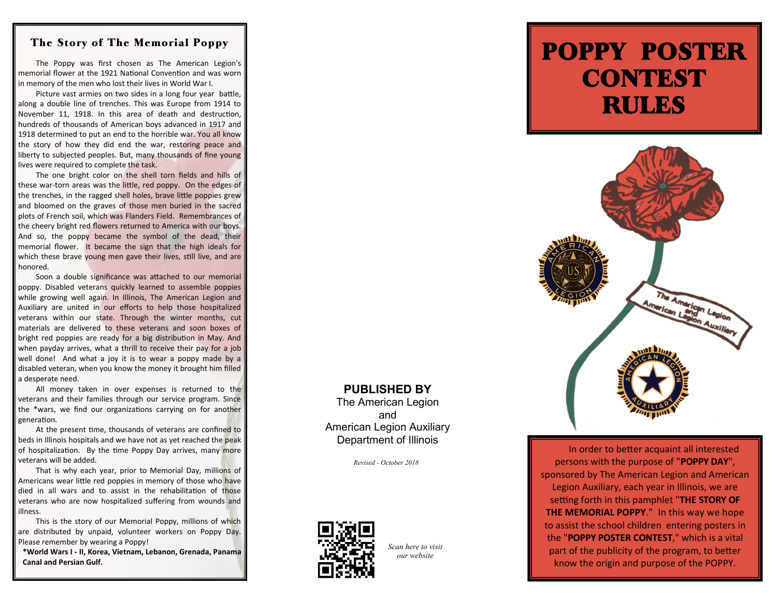## The Story of The Memorial Poppy

The Poppy was first chosen as The American Legion's memorial flower at the 1921 National Convention and was worn in memory of the men who lost their lives in World War I.

Picture vast armies on two sides in a long four year battle, along a double line of trenches. This was Europe from 1914 to November 11, 1918. In this area of death and destruction, hundreds of thousands of American boys advanced in 1917 and 1918 determined to put an end to the horrible war. You all know the story of how they did end the war, restoring peace and liberty to subjected peoples. But, many thousands of fine young lives were required to complete the task.

The one bright color on the shell torn fields and hills of these war -torn areas was the little, red poppy. On the edges of the trenches, in the ragged shell holes, brave little poppies grew and bloomed on the graves of those men buried in the sacred plots of French soil, which was Flanders Field. Remembrances of the cheery bright red flowers returned to America with our boys. And so, the poppy became the symbol of the dead, their memorial flower. It became the sign that the high ideals for which these brave young men gave their lives, still live, and are honored.

Soon a double significance was attached to our memorial poppy. Disabled veterans quickly learned to assemble poppies while growing well again. In Illinois, The American Legion and Auxiliary are united in our efforts to help those hospitalized veterans within our state. Through the winter months, cut materials are delivered to these veterans and soon boxes of bright red poppies are ready for a big distribution in May. And when payday arrives, what a thrill to receive their pay for a job well done! And what a joy it is to wear a poppy made by a disabled veteran, when you know the money it brought him filled a desperate need.

All money taken in over expenses is returned to the veterans and their families through our service program. Since the \*wars, we find our organizations carrying on for another generation.

At the present time, thousands of veterans are confined to beds in Illinois hospitals and we have not as yet reached the peak of hospitalization. By the time Poppy Day arrives, many more veterans will be added.

That is why each year, prior to Memorial Day, millions of Americans wear little red poppies in memory of those who have died in all wars and to assist in the rehabilitation of those veterans who are now hospitalized suffering from wounds and illness.

This is the story of our Memorial Poppy, millions of which are distributed by unpaid, volunteer workers on Poppy Day. Please remember by wearing a Poppy!

**\*World Wars I - II, Korea, Vietnam, Lebanon, Grenada, Panama Canal and Persian Gulf.**

# POPPY POSTER **CONTEST** RULES



**PUBLISHED BY** The American Legion

and American Legion Auxiliary Department of Illinois

*Revised - October 2018*



*Scan here to visit our website*

In order to better acquaint all interested persons with the purpose of "**POPPY DAY**", sponsored by The American Legion and American Legion Auxiliary, each year in Illinois, we are setting forth in this pamphlet "**THE STORY OF THE MEMORIAL POPPY**." In this way we hope to assist the school children entering posters in the "**POPPY POSTER CONTEST**," which is a vital part of the publicity of the program, to better know the origin and purpose of the POPPY.